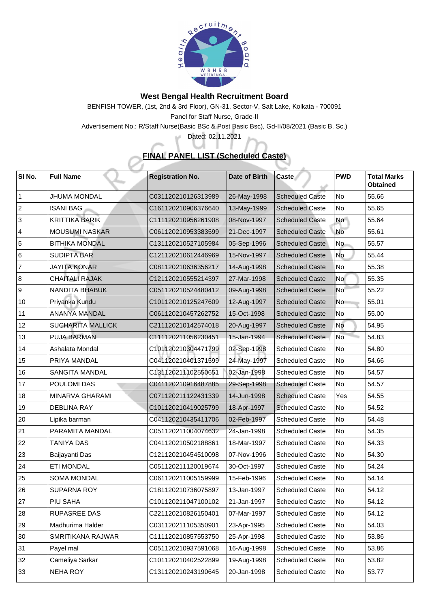

## **West Bengal Health Recruitment Board**

BENFISH TOWER, (1st, 2nd & 3rd Floor), GN-31, Sector-V, Salt Lake, Kolkata - 700091 Panel for Staff Nurse, Grade-II

Advertisement No.: R/Staff Nurse(Basic BSc & Post Basic Bsc), Gd-II/08/2021 (Basic B. Sc.)

Dated: 02.11.2021

шř

## **FINAL PANEL LIST (Scheduled Caste)**

 $\Delta \vec{b}$ 

| SI No.         | <b>Full Name</b>         | <b>Registration No.</b> | <b>Date of Birth</b> | <b>Caste</b>           | <b>PWD</b>      | <b>Total Marks</b><br><b>Obtained</b> |
|----------------|--------------------------|-------------------------|----------------------|------------------------|-----------------|---------------------------------------|
|                | <b>JHUMA MONDAL</b>      | C031120210126313989     | 26-May-1998          | <b>Scheduled Caste</b> | No              | 55.66                                 |
| 2              | <b>ISANI BAG</b>         | C161120210906376640     | 13-May-1999          | <b>Scheduled Caste</b> | No              | 55.65                                 |
| $\mathbf{3}$   | <b>KRITTIKA BARIK</b>    | C111120210956261908     | 08-Nov-1997          | <b>Scheduled Caste</b> | <b>No</b>       | 55.64                                 |
| $\overline{4}$ | <b>MOUSUMI NASKAR</b>    | C061120210953383599     | 21-Dec-1997          | <b>Scheduled Caste</b> | No              | 55.61                                 |
| 5              | <b>BITHIKA MONDAL</b>    | C131120210527105984     | 05-Sep-1996          | <b>Scheduled Caste</b> | No              | 55.57                                 |
| 6              | <b>SUDIPTA BAR</b>       | C121120210612446969     | 15-Nov-1997          | <b>Scheduled Caste</b> | <b>No</b>       | 55.44                                 |
| $\overline{7}$ | <b>JAYITA KONAR</b>      | C081120210636356217     | 14-Aug-1998          | <b>Scheduled Caste</b> | No              | 55.38                                 |
| 8              | <b>CHAITALI RAJAK</b>    | C121120210555214397     | 27-Mar-1998          | <b>Scheduled Caste</b> | <b>No</b>       | 55.35                                 |
| 9              | <b>NANDITA BHABUK</b>    | C051120210524480412     | 09-Aug-1998          | <b>Scheduled Caste</b> | No <sup>-</sup> | 55.22                                 |
| 10             | Priyanka Kundu           | C101120210125247609     | 12-Aug-1997          | <b>Scheduled Caste</b> | N <sub>o</sub>  | 55.01                                 |
| 11             | <b>ANANYA MANDAL</b>     | C061120210457262752     | 15-Oct-1998          | <b>Scheduled Caste</b> | No              | 55.00                                 |
| 12             | <b>SUCHARITA MALLICK</b> | C211120210142574018     | 20-Aug-1997          | <b>Scheduled Caste</b> | No              | 54.95                                 |
| 13             | <b>PUJA BARMAN</b>       | C111120211056230451     | 15-Jan-1994          | <b>Scheduled Caste</b> | <b>No</b>       | 54.83                                 |
| 14             | Ashalata Mondal          | C101120210304471799     | 02-Sep-1998          | <b>Scheduled Caste</b> | No              | 54.80                                 |
| 15             | PRIYA MANDAL             | C041120210401371599     | 24-May-1997          | <b>Scheduled Caste</b> | No              | 54.66                                 |
| 16             | <b>SANGITA MANDAL</b>    | C131120211102550651     | 02-Jan-1998          | <b>Scheduled Caste</b> | No              | 54.57                                 |
| 17             | <b>POULOMI DAS</b>       | C041120210916487885     | 29-Sep-1998          | <b>Scheduled Caste</b> | No              | 54.57                                 |
| 18             | <b>MINARVA GHARAMI</b>   | C071120211122431339     | 14-Jun-1998          | <b>Scheduled Caste</b> | Yes             | 54.55                                 |
| 19             | <b>DEBLINA RAY</b>       | C101120210419025799     | 18-Apr-1997          | <b>Scheduled Caste</b> | No              | 54.52                                 |
| 20             | Lipika barman            | C041120210435411706     | 02-Feb-1997          | <b>Scheduled Caste</b> | No              | 54.48                                 |
| 21             | <b>PARAMITA MANDAL</b>   | C051120211004074632     | 24-Jan-1998          | <b>Scheduled Caste</b> | No              | 54.35                                 |
| 22             | <b>TANIYA DAS</b>        | C041120210502188861     | 18-Mar-1997          | <b>Scheduled Caste</b> | No              | 54.33                                 |
| 23             | Baijayanti Das           | C121120210454510098     | 07-Nov-1996          | <b>Scheduled Caste</b> | No              | 54.30                                 |
| 24             | <b>ETI MONDAL</b>        | C051120211120019674     | 30-Oct-1997          | <b>Scheduled Caste</b> | No              | 54.24                                 |
| 25             | <b>SOMA MONDAL</b>       | C061120211005159999     | 15-Feb-1996          | <b>Scheduled Caste</b> | No              | 54.14                                 |
| 26             | <b>SUPARNA ROY</b>       | C181120210736075897     | 13-Jan-1997          | <b>Scheduled Caste</b> | <b>No</b>       | 54.12                                 |
| 27             | <b>PIU SAHA</b>          | C101120211047100102     | 21-Jan-1997          | <b>Scheduled Caste</b> | No              | 54.12                                 |
| 28             | <b>RUPASREE DAS</b>      | C221120210826150401     | 07-Mar-1997          | <b>Scheduled Caste</b> | No              | 54.12                                 |
| 29             | Madhurima Halder         | C031120211105350901     | 23-Apr-1995          | <b>Scheduled Caste</b> | No              | 54.03                                 |
| 30             | SMRITIKANA RAJWAR        | C111120210857553750     | 25-Apr-1998          | <b>Scheduled Caste</b> | No              | 53.86                                 |
| 31             | Payel mal                | C051120210937591068     | 16-Aug-1998          | <b>Scheduled Caste</b> | No              | 53.86                                 |
| 32             | <b>Cameliya Sarkar</b>   | C101120210402522899     | 19-Aug-1998          | <b>Scheduled Caste</b> | No              | 53.82                                 |
| 33             | <b>NEHA ROY</b>          | C131120210243190645     | 20-Jan-1998          | <b>Scheduled Caste</b> | No              | 53.77                                 |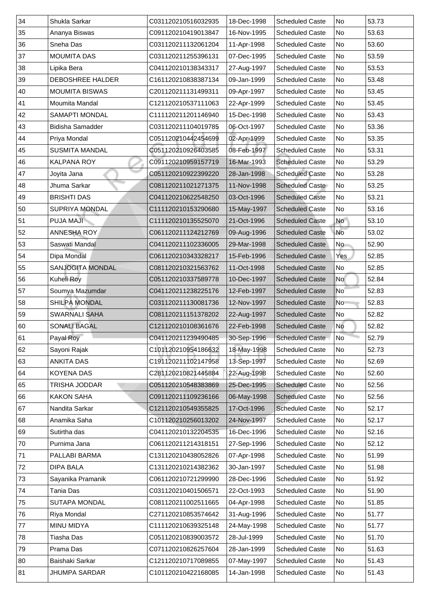| 34           | <b>Shukla Sarkar</b>    | C031120210516032935 | 18-Dec-1998 | <b>Scheduled Caste</b> | No             | 53.73 |
|--------------|-------------------------|---------------------|-------------|------------------------|----------------|-------|
| 35           | Ananya Biswas           | C091120210419013847 | 16-Nov-1995 | <b>Scheduled Caste</b> | No             | 53.63 |
| 36           | <b>Sneha Das</b>        | C031120211132061204 | 11-Apr-1998 | <b>Scheduled Caste</b> | No             | 53.60 |
| 37           | <b>MOUMITA DAS</b>      | C031120211255396131 | 07-Dec-1995 | <b>Scheduled Caste</b> | No             | 53.59 |
| 38           | Lipika Bera             | C041120210138343317 | 27-Aug-1997 | <b>Scheduled Caste</b> | No             | 53.53 |
| 39           | <b>DEBOSHREE HALDER</b> | C161120210838387134 | 09-Jan-1999 | <b>Scheduled Caste</b> | No             | 53.48 |
| $ 40\rangle$ | <b>MOUMITA BISWAS</b>   | C201120211131499311 | 09-Apr-1997 | <b>Scheduled Caste</b> | No             | 53.45 |
| $ 41\rangle$ | Moumita Mandal          | C121120210537111063 | 22-Apr-1999 | <b>Scheduled Caste</b> | No             | 53.45 |
| 42           | <b>SAMAPTI MONDAL</b>   | C111120211201146940 | 15-Dec-1998 | <b>Scheduled Caste</b> | N <sub>o</sub> | 53.43 |
| $ 43\rangle$ | <b>Bidisha Samadder</b> | C031120211104019785 | 06-Oct-1997 | <b>Scheduled Caste</b> | No             | 53.36 |
| 44           | Priya Mondal            | C051120210442454699 | 02-Apr-1999 | <b>Scheduled Caste</b> | No             | 53.35 |
| 45           | <b>SUSMITA MANDAL</b>   | C051120210926403585 | 08-Feb-1997 | <b>Scheduled Caste</b> | No             | 53.31 |
| 46           | <b>KALPANA ROY</b>      | C091120210959157719 | 16-Mar-1993 | <b>Scheduled Caste</b> | No             | 53.29 |
| 147          | Joyita Jana             | C051120210922399220 | 28-Jan-1998 | <b>Scheduled Caste</b> | No             | 53.28 |
| 48           | Jhuma Sarkar            | C081120211021271375 | 11-Nov-1998 | <b>Scheduled Caste</b> | No             | 53.25 |
| 49           | <b>BRISHTI DAS</b>      | C041120210622548250 | 03-Oct-1996 | <b>Scheduled Caste</b> | No             | 53.21 |
| 50           | <b>SUPRIYA MONDAL</b>   | C111120210153290680 | 15-May-1997 | <b>Scheduled Caste</b> | No             | 53.16 |
| 51           | <b>PUJA MAJI-</b>       | C111120210135525070 | 21-Oct-1996 | <b>Scheduled Caste</b> | <b>No</b>      | 53.10 |
| 52           | ANNESHA ROY             | C061120211124212769 | 09-Aug-1996 | <b>Scheduled Caste</b> | No             | 53.02 |
| 53           | Saswati Mandal          | C041120211102336005 | 29-Mar-1998 | <b>Scheduled Caste</b> | No             | 52.90 |
| 54           | Dipa Mondal             | C061120210343328217 | 15-Feb-1996 | <b>Scheduled Caste</b> | Yes            | 52.85 |
| 55           | <b>SANJOGITA MONDAL</b> | C081120210321563762 | 11-Oct-1998 | <b>Scheduled Caste</b> | No             | 52.85 |
| 56           | <b>Kuheli Roy</b>       | C051120210337589778 | 10-Dec-1997 | <b>Scheduled Caste</b> | <b>No</b>      | 52.84 |
| 57           | Soumya Mazumdar         | C041120211238225176 | 12-Feb-1997 | <b>Scheduled Caste</b> | No             | 52.83 |
| 58           | <b>SHILPA MONDAL</b>    | C031120211130081736 | 12-Nov-1997 | <b>Scheduled Caste</b> | N <sub>o</sub> | 52.83 |
| 59           | <b>SWARNALI SAHA</b>    | C081120211151378202 | 22-Aug-1997 | <b>Scheduled Caste</b> | No             | 52.82 |
| 60           | <b>SONALI BAGAL</b>     | C121120210108361676 | 22-Feb-1998 | <b>Scheduled Caste</b> | <b>No</b>      | 52.82 |
| 61           | Payal Roy               | C041120211239490485 | 30-Sep-1996 | <b>Scheduled Caste</b> | No             | 52.79 |
| 62           | Sayoni Rajak            | C101120210954186632 | 18-May-1998 | <b>Scheduled Caste</b> | No             | 52.73 |
| 63           |                         |                     |             |                        |                |       |
|              | <b>ANKITA DAS</b>       | C191120211102147958 | 13-Sep-1997 | <b>Scheduled Caste</b> | No             | 52.69 |
| 64           | <b>KOYENA DAS</b>       | C281120210821445884 | 22-Aug-1998 | <b>Scheduled Caste</b> | No             | 52.60 |
| 65           | TRISHA JODDAR           | C051120210548383869 | 25-Dec-1995 | <b>Scheduled Caste</b> | No             | 52.56 |
| 66           | <b>KAKON SAHA</b>       | C091120211109236166 | 06-May-1998 | <b>Scheduled Caste</b> | No             | 52.56 |
| 67           | Nandita Sarkar          | C121120210549355825 | 17-Oct-1996 | <b>Scheduled Caste</b> | No             | 52.17 |
| 68           | Anamika Saha            | C101120210256013202 | 24-Nov-1997 | <b>Scheduled Caste</b> | No             | 52.17 |
| 69           | Sutirtha das            | C041120210132204535 | 16-Dec-1996 | <b>Scheduled Caste</b> | No             | 52.16 |
| 70           | Purnima Jana            | C061120211214318151 | 27-Sep-1996 | <b>Scheduled Caste</b> | No             | 52.12 |
| 71           | PALLABI BARMA           | C131120210438052826 | 07-Apr-1998 | <b>Scheduled Caste</b> | No             | 51.99 |
| 72           | <b>DIPA BALA</b>        | C131120210214382362 | 30-Jan-1997 | <b>Scheduled Caste</b> | No             | 51.98 |
| 73           | Sayanika Pramanik       | C061120210721299990 | 28-Dec-1996 | <b>Scheduled Caste</b> | No             | 51.92 |
| 74           | Tania Das               | C031120210401506571 | 22-Oct-1993 | <b>Scheduled Caste</b> | No             | 51.90 |
| 75           | <b>SUTAPA MONDAL</b>    | C081120211002511665 | 04-Apr-1998 | <b>Scheduled Caste</b> | No             | 51.85 |
| 76           | <b>Riya Mondal</b>      | C271120210853574642 | 31-Aug-1996 | <b>Scheduled Caste</b> | No             | 51.77 |
| 77           | <b>MINU MIDYA</b>       | C111120210639325148 | 24-May-1998 | <b>Scheduled Caste</b> | No             | 51.77 |
| 78           | Tiasha Das              | C051120210839003572 | 28-Jul-1999 | <b>Scheduled Caste</b> | No             | 51.70 |
| 79           | Prama Das               | C071120210826257604 | 28-Jan-1999 | <b>Scheduled Caste</b> | No             | 51.63 |
| 80           | <b>Baishaki Sarkar</b>  | C121120210717089855 | 07-May-1997 | <b>Scheduled Caste</b> | No             | 51.43 |
| 81           | <b>JHUMPA SARDAR</b>    | C101120210422168085 | 14-Jan-1998 | <b>Scheduled Caste</b> | No             | 51.43 |
|              |                         |                     |             |                        |                |       |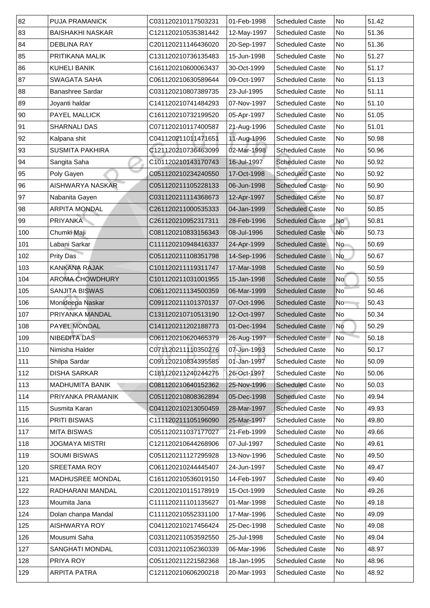| 82  | <b>PUJA PRAMANICK</b>   | C031120210117503231 | 01-Feb-1998 | <b>Scheduled Caste</b> | No        | 51.42 |
|-----|-------------------------|---------------------|-------------|------------------------|-----------|-------|
| 83  | <b>BAISHAKHI NASKAR</b> | C121120210535381442 | 12-May-1997 | <b>Scheduled Caste</b> | No        | 51.36 |
| 84  | <b>DEBLINA RAY</b>      | C201120211146436020 | 20-Sep-1997 | <b>Scheduled Caste</b> | No        | 51.36 |
| 85  | <b>PRITIKANA MALIK</b>  | C131120210736135483 | 15-Jun-1998 | <b>Scheduled Caste</b> | No        | 51.27 |
| 86  | <b>KUHELI BANIK</b>     | C161120210600063437 | 30-Oct-1999 | <b>Scheduled Caste</b> | No        | 51.17 |
| 87  | <b>SWAGATA SAHA</b>     | C061120210630589644 | 09-Oct-1997 | <b>Scheduled Caste</b> | No        | 51.13 |
| 88  | <b>Banashree Sardar</b> | C031120210807389735 | 23-Jul-1995 | <b>Scheduled Caste</b> | No        | 51.11 |
| 89  | Joyanti haldar          | C141120210741484293 | 07-Nov-1997 | <b>Scheduled Caste</b> | No        | 51.10 |
| 90  | <b>PAYEL MALLICK</b>    | C161120210732199520 | 05-Apr-1997 | <b>Scheduled Caste</b> | No        | 51.05 |
| 91  | <b>SHARNALI DAS</b>     | C071120210117400587 | 21-Aug-1996 | <b>Scheduled Caste</b> | No        | 51.01 |
| 92  | Kalpana shit            | C041120211011471651 | 11-Aug-1996 | <b>Scheduled Caste</b> | No        | 50.98 |
| 93  | <b>SUSMITA PAKHIRA</b>  | C121120210736463099 | 02-Mar-1998 | <b>Scheduled Caste</b> | No        | 50.96 |
| 94  | Sangita Saha            | C101120210143170743 | 16-Jul-1997 | <b>Scheduled Caste</b> | No        | 50.92 |
| 95  | Poly Gayen              | C051120210234240550 | 17-Oct-1998 | <b>Scheduled Caste</b> | No        | 50.92 |
| 96  | <b>AISHWARYA NASKAR</b> | C051120211105228133 | 06-Jun-1998 | <b>Scheduled Caste</b> | No        | 50.90 |
| 97  | Nabanita Gayen          | C031120211114368673 | 12-Apr-1997 | <b>Scheduled Caste</b> | No        | 50.87 |
| 98  | <b>ARPITA MONDAL</b>    | C261120211000535333 | 04-Jan-1999 | <b>Scheduled Caste</b> | No        | 50.85 |
| 99  | <b>PRIYANKA</b>         | C261120210952317311 | 28-Feb-1996 | <b>Scheduled Caste</b> | <b>No</b> | 50.81 |
| 100 | Chumki Maji             | C081120210833156343 | 08-Jul-1996 | <b>Scheduled Caste</b> | No        | 50.73 |
| 101 | Labani Sarkar           | C111120210948416337 | 24-Apr-1999 | <b>Scheduled Caste</b> | No        | 50.69 |
| 102 | <b>Prity Das</b>        | C051120211108351798 | 14-Sep-1996 | <b>Scheduled Caste</b> | No        | 50.67 |
| 103 | <b>KANKANA RAJAK</b>    | C101120211119311747 | 17-Mar-1998 | <b>Scheduled Caste</b> | No        | 50.59 |
| 104 | <b>AROMA CHOWDHURY</b>  | C101120211031001955 | 15-Jan-1998 | <b>Scheduled Caste</b> | No        | 50.55 |
| 105 | <b>SANJITA BISWAS</b>   | C061120211134500359 | 06-Mar-1999 | <b>Scheduled Caste</b> | No        | 50.46 |
| 106 | Monideepa Naskar        | C091120211101370137 | 07-Oct-1996 | <b>Scheduled Caste</b> | No        | 50.43 |
| 107 | <b>PRIYANKA MANDAL</b>  | C131120210710513190 | 12-Oct-1997 | <b>Scheduled Caste</b> | No        | 50.34 |
| 108 | PAYEL MONDAL            | C141120211202188773 | 01-Dec-1994 | <b>Scheduled Caste</b> | <b>No</b> | 50.29 |
| 109 | <b>NIBEDITA DAS</b>     | C061120210620465379 | 26-Aug-1997 | <b>Scheduled Caste</b> | No        | 50.18 |
| 110 | Nimisha Halder          | C071120211110350276 | 07-Jun-1993 | <b>Scheduled Caste</b> | No        | 50.17 |
| 111 | Shilpa Sardar           | C091120210834395585 | 01-Jan-1997 | <b>Scheduled Caste</b> | No        | 50.09 |
| 112 | <b>DISHA SARKAR</b>     | C181120211240244275 | 26-Oct-1997 | <b>Scheduled Caste</b> | No        | 50.06 |
| 113 | <b>MADHUMITA BANIK</b>  | C081120210640152362 | 25-Nov-1996 | <b>Scheduled Caste</b> | No        | 50.03 |
| 114 | PRIYANKA PRAMANIK       | C051120210808362894 | 05-Dec-1998 | <b>Scheduled Caste</b> | No        | 49.94 |
| 115 | Susmita Karan           | C041120210213050459 | 28-Mar-1997 | <b>Scheduled Caste</b> | No        | 49.93 |
| 116 | <b>PRITI BISWAS</b>     | C111120211105196090 | 25-Mar-1997 | <b>Scheduled Caste</b> | No        | 49.80 |
| 117 | <b>MITA BISWAS</b>      | C051120211037177027 | 21-Feb-1999 | <b>Scheduled Caste</b> | No        | 49.66 |
| 118 | <b>JOGMAYA MISTRI</b>   | C121120210644268906 | 07-Jul-1997 | <b>Scheduled Caste</b> | No        | 49.61 |
| 119 | <b>SOUMI BISWAS</b>     | C051120211127295928 | 13-Nov-1996 | <b>Scheduled Caste</b> | No        | 49.50 |
| 120 | <b>SREETAMA ROY</b>     | C061120210244445407 | 24-Jun-1997 | <b>Scheduled Caste</b> | No        | 49.47 |
| 121 | <b>MADHUSREE MONDAL</b> | C161120210536019150 | 14-Feb-1997 | <b>Scheduled Caste</b> | No        | 49.40 |
| 122 | RADHARANI MANDAL        | C201120210115178919 | 15-Oct-1999 | <b>Scheduled Caste</b> | No        | 49.26 |
| 123 | Moumita Jana            | C111120211101135627 | 01-Mar-1998 | <b>Scheduled Caste</b> | No        | 49.18 |
| 124 | Dolan chanpa Mandal     | C111120210552331100 | 17-Mar-1996 | <b>Scheduled Caste</b> | No        | 49.09 |
| 125 | <b>AISHWARYA ROY</b>    | C041120210217456424 | 25-Dec-1998 | <b>Scheduled Caste</b> | No        | 49.08 |
| 126 | Mousumi Saha            | C031120211053592550 | 25-Jul-1998 | <b>Scheduled Caste</b> | No        | 49.04 |
| 127 | <b>SANGHATI MONDAL</b>  | C031120211052360339 | 06-Mar-1996 | <b>Scheduled Caste</b> | No        | 48.97 |
| 128 | PRIYA ROY               | C051120211221582368 | 18-Jan-1995 | <b>Scheduled Caste</b> | No        | 48.96 |
| 129 | ARPITA PATRA            | C121120210606200218 | 20-Mar-1993 | <b>Scheduled Caste</b> | No        | 48.92 |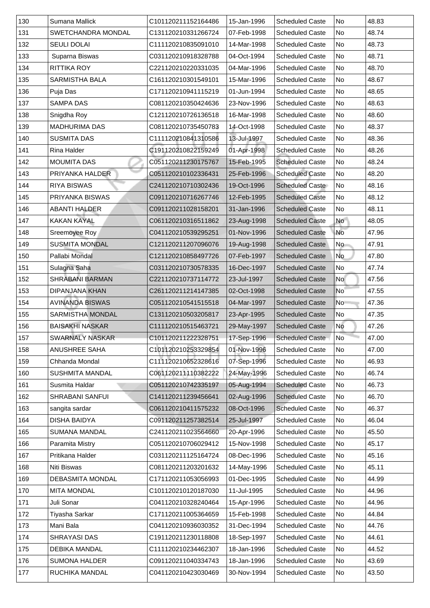| 130 | Sumana Mallick            | C101120211152164486 | 15-Jan-1996 | <b>Scheduled Caste</b> | No                       | 48.83 |
|-----|---------------------------|---------------------|-------------|------------------------|--------------------------|-------|
| 131 | <b>SWETCHANDRA MONDAL</b> | C131120210331266724 | 07-Feb-1998 | <b>Scheduled Caste</b> | No                       | 48.74 |
| 132 | <b>SEULI DOLAI</b>        | C111120210835091010 | 14-Mar-1998 | <b>Scheduled Caste</b> | No                       | 48.73 |
| 133 | Suparna Biswas            | C031120210918328788 | 04-Oct-1994 | <b>Scheduled Caste</b> | No                       | 48.71 |
| 134 | <b>RITTIKA ROY</b>        | C221120210220331035 | 04-Mar-1996 | <b>Scheduled Caste</b> | No                       | 48.70 |
| 135 | <b>SARMISTHA BALA</b>     | C161120210301549101 | 15-Mar-1996 | <b>Scheduled Caste</b> | No                       | 48.67 |
| 136 | Puja Das                  | C171120210941115219 | 01-Jun-1994 | <b>Scheduled Caste</b> | No                       | 48.65 |
| 137 | <b>SAMPA DAS</b>          | C081120210350424636 | 23-Nov-1996 | <b>Scheduled Caste</b> | No                       | 48.63 |
| 138 | Snigdha Roy               | C121120210726136518 | 16-Mar-1998 | <b>Scheduled Caste</b> | No                       | 48.60 |
| 139 | <b>MADHURIMA DAS</b>      | C081120210735450783 | 14-Oct-1998 | <b>Scheduled Caste</b> | No                       | 48.37 |
| 140 | <b>SUSMITA DAS</b>        | C111120210841310586 | 13-Jul-1997 | <b>Scheduled Caste</b> | No                       | 48.36 |
| 141 | <b>Rina Halder</b>        | C191120210822159249 | 01-Apr-1998 | <b>Scheduled Caste</b> | No                       | 48.26 |
| 142 | <b>MOUMITA DAS</b>        | C051120211230175767 | 15-Feb-1995 | <b>Scheduled Caste</b> | No                       | 48.24 |
| 143 | <b>PRIYANKA HALDER</b>    | C051120210102336431 | 25-Feb-1996 | <b>Scheduled Caste</b> | No                       | 48.20 |
| 144 | <b>RIYA BISWAS</b>        | C241120210710302436 | 19-Oct-1996 | <b>Scheduled Caste</b> | No                       | 48.16 |
| 145 | <b>PRIYANKA BISWAS</b>    | C091120210716267746 | 12-Feb-1995 | <b>Scheduled Caste</b> | No                       | 48.12 |
| 146 | <b>ABANTI HALDER</b>      | C091120211028158201 | 31-Jan-1996 | <b>Scheduled Caste</b> | No                       | 48.11 |
| 147 | <b>KAKAN KAYAL</b>        | C061120210316511862 | 23-Aug-1998 | <b>Scheduled Caste</b> | <b>No</b>                | 48.05 |
| 148 | Sreemoyee Roy             | C041120210539295251 | 01-Nov-1996 | <b>Scheduled Caste</b> | No                       | 47.96 |
| 149 | <b>SUSMITA MONDAL</b>     | C121120211207096076 | 19-Aug-1998 | <b>Scheduled Caste</b> | No                       | 47.91 |
| 150 | Pallabi Mondal            | C121120210858497726 | 07-Feb-1997 | <b>Scheduled Caste</b> | No                       | 47.80 |
| 151 | Sulagna Saha              | C031120210730578335 | 16-Dec-1997 | <b>Scheduled Caste</b> | No                       | 47.74 |
| 152 | <b>SHRABANI BARMAN</b>    | C221120210737114772 | 23-Jul-1997 | <b>Scheduled Caste</b> | <b>No</b>                | 47.56 |
| 153 | <b>DIPANJANA KHAN</b>     | C261120211214147385 | 02-Oct-1998 | <b>Scheduled Caste</b> | $\overline{\mathsf{No}}$ | 47.55 |
| 154 | <b>AVINANDA BISWAS</b>    | C051120210541515518 | 04-Mar-1997 | <b>Scheduled Caste</b> | N <sub>o</sub>           | 47.36 |
| 155 | <b>SARMISTHA MONDAL</b>   | C131120210503205817 | 23-Apr-1995 | <b>Scheduled Caste</b> | No                       | 47.35 |
| 156 | <b>BAISAKHI NASKAR</b>    | C111120210515463721 | 29-May-1997 | <b>Scheduled Caste</b> | <b>No</b>                | 47.26 |
| 157 | <b>SWARNALY NASKAR</b>    | C101120211222328751 | 17-Sep-1996 | <b>Scheduled Caste</b> | <b>No</b>                | 47.00 |
| 158 | <b>ANUSHREE SAHA</b>      | C101120210253329854 | 01-Nov-1996 | <b>Scheduled Caste</b> | No                       | 47.00 |
| 159 | <b>Chhanda Mondal</b>     | C111120210652328616 | 07-Sep-1996 | <b>Scheduled Caste</b> | No                       | 46.93 |
| 160 | <b>SUSHMITA MANDAL</b>    | C061120211110382222 | 24-May-1996 | <b>Scheduled Caste</b> | No                       | 46.74 |
| 161 | Susmita Haldar            | C051120210742335197 | 05-Aug-1994 | <b>Scheduled Caste</b> | No                       | 46.73 |
| 162 | <b>SHRABANI SANFUI</b>    | C141120211239456641 | 02-Aug-1996 | <b>Scheduled Caste</b> | No                       | 46.70 |
| 163 | sangita sardar            | C061120210411575232 | 08-Oct-1996 | <b>Scheduled Caste</b> | No                       | 46.37 |
| 164 | <b>DISHA BAIDYA</b>       | C091120211257382514 | 25-Jul-1997 | <b>Scheduled Caste</b> | No                       | 46.04 |
| 165 | <b>SUMANA MANDAL</b>      | C241120211023564660 | 20-Apr-1996 | <b>Scheduled Caste</b> | No                       | 45.50 |
| 166 | <b>Paramita Mistry</b>    | C051120210706029412 | 15-Nov-1998 | <b>Scheduled Caste</b> | No                       | 45.17 |
| 167 | <b>Pritikana Halder</b>   | C031120211125164724 | 08-Dec-1996 | <b>Scheduled Caste</b> | No                       | 45.16 |
| 168 | <b>Niti Biswas</b>        | C081120211203201632 | 14-May-1996 | <b>Scheduled Caste</b> | No                       | 45.11 |
| 169 | <b>DEBASMITA MONDAL</b>   | C171120211053056993 | 01-Dec-1995 | <b>Scheduled Caste</b> | No                       | 44.99 |
| 170 | <b>MITA MONDAL</b>        | C101120210120187030 | 11-Jul-1995 | <b>Scheduled Caste</b> | No                       | 44.96 |
| 171 | Juli Sonar                | C041120210328240464 | 15-Apr-1996 | <b>Scheduled Caste</b> | No                       | 44.96 |
| 172 | Tiyasha Sarkar            | C171120211005364659 | 15-Feb-1998 | <b>Scheduled Caste</b> | No                       | 44.84 |
| 173 | Mani Bala                 | C041120210936030352 | 31-Dec-1994 | <b>Scheduled Caste</b> | No                       | 44.76 |
| 174 | <b>SHRAYASI DAS</b>       | C191120211230118808 | 18-Sep-1997 | <b>Scheduled Caste</b> | No                       | 44.61 |
| 175 | <b>DEBIKA MANDAL</b>      | C111120210234462307 | 18-Jan-1996 | <b>Scheduled Caste</b> | No                       | 44.52 |
| 176 | <b>SUMONA HALDER</b>      | C091120211040334743 | 18-Jan-1996 | <b>Scheduled Caste</b> | No                       | 43.69 |
| 177 | <b>RUCHIKA MANDAL</b>     | C041120210423030469 | 30-Nov-1994 | <b>Scheduled Caste</b> | No                       | 43.50 |